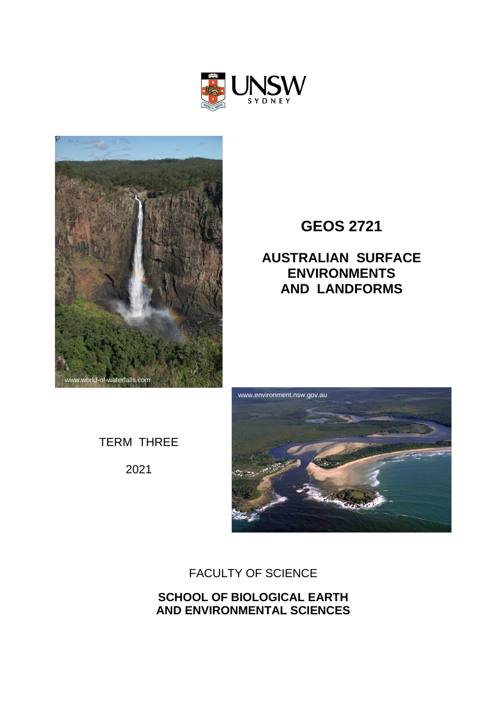



# **GEOS 2721**

# **AUSTRALIAN SURFACE ENVIRONMENTS AND LANDFORMS**

TERM THREE

2021



# FACULTY OF SCIENCE

**SCHOOL OF BIOLOGICAL EARTH AND ENVIRONMENTAL SCIENCES**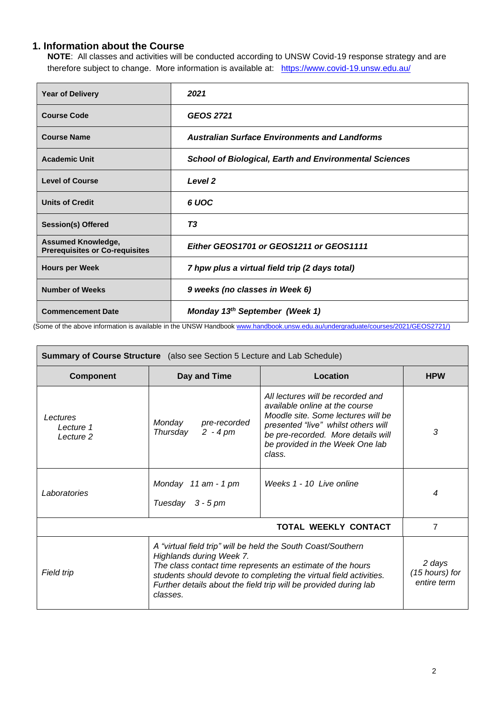## **1. Information about the Course**

**NOTE**: All classes and activities will be conducted according to UNSW Covid-19 response strategy and are therefore subject to change. More information is available at: <https://www.covid-19.unsw.edu.au/>

| <b>Year of Delivery</b>                                            | 2021                                                          |
|--------------------------------------------------------------------|---------------------------------------------------------------|
| <b>Course Code</b>                                                 | <b>GEOS 2721</b>                                              |
| <b>Course Name</b>                                                 | <b>Australian Surface Environments and Landforms</b>          |
| <b>Academic Unit</b>                                               | <b>School of Biological, Earth and Environmental Sciences</b> |
| <b>Level of Course</b>                                             | Level <sub>2</sub>                                            |
| <b>Units of Credit</b>                                             | 6 UOC                                                         |
| <b>Session(s) Offered</b>                                          | T <sub>3</sub>                                                |
| <b>Assumed Knowledge,</b><br><b>Prerequisites or Co-requisites</b> | Either GEOS1701 or GEOS1211 or GEOS1111                       |
| <b>Hours per Week</b>                                              | 7 hpw plus a virtual field trip (2 days total)                |
| <b>Number of Weeks</b>                                             | 9 weeks (no classes in Week 6)                                |
| <b>Commencement Date</b>                                           | Monday 13 <sup>th</sup> September (Week 1)                    |

(Some of the above information is available in the UNSW Handboo[k www.handbook.unsw.edu.au/undergraduate/courses/2021/GEOS2721/\)](http://www.handbook.unsw.edu.au/undergraduate/courses/2021/GEOS2721/)

| <b>Summary of Course Structure</b> (also see Section 5 Lecture and Lab Schedule) |                                                                                                                                                                                                                                                                                                                                                         |                          |                  |  |
|----------------------------------------------------------------------------------|---------------------------------------------------------------------------------------------------------------------------------------------------------------------------------------------------------------------------------------------------------------------------------------------------------------------------------------------------------|--------------------------|------------------|--|
| <b>Component</b>                                                                 | Day and Time                                                                                                                                                                                                                                                                                                                                            | <b>Location</b>          | <b>HPW</b>       |  |
| Lectures<br>Lecture 1<br>Lecture 2                                               | All lectures will be recorded and<br>available online at the course<br>Moodle site. Some lectures will be<br>Monday<br>pre-recorded<br>presented "live" whilst others will<br>Thursday<br>$2 - 4 pm$<br>be pre-recorded. More details will<br>be provided in the Week One lab<br>class.                                                                 |                          | 3                |  |
| Laboratories                                                                     | Monday 11 am - 1 pm<br>Tuesday $3 - 5$ pm                                                                                                                                                                                                                                                                                                               | Weeks 1 - 10 Live online | $\boldsymbol{4}$ |  |
|                                                                                  | TOTAL WEEKLY CONTACT<br>7                                                                                                                                                                                                                                                                                                                               |                          |                  |  |
| Field trip                                                                       | A "virtual field trip" will be held the South Coast/Southern<br>Highlands during Week 7.<br>2 days<br>The class contact time represents an estimate of the hours<br>(15 hours) for<br>students should devote to completing the virtual field activities.<br>entire term<br>Further details about the field trip will be provided during lab<br>classes. |                          |                  |  |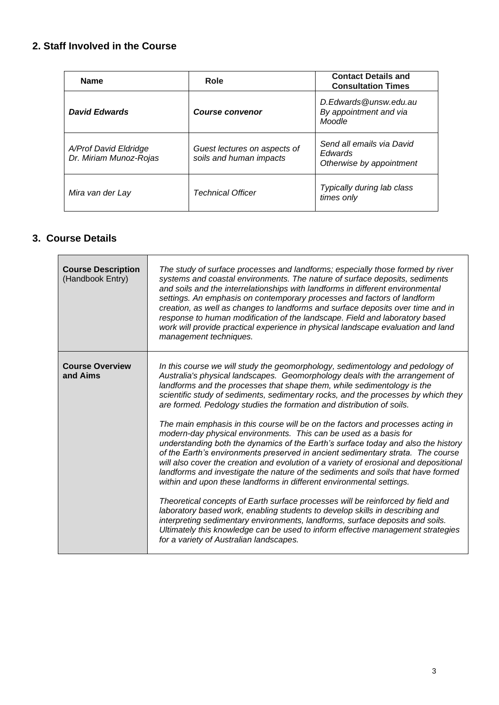# **2. Staff Involved in the Course**

| <b>Name</b>                                     | Role                                                    | <b>Contact Details and</b><br><b>Consultation Times</b>          |
|-------------------------------------------------|---------------------------------------------------------|------------------------------------------------------------------|
| <b>David Edwards</b>                            | <b>Course convenor</b>                                  | D.Edwards@unsw.edu.au<br>By appointment and via<br>Moodle        |
| A/Prof David Eldridge<br>Dr. Miriam Munoz-Rojas | Guest lectures on aspects of<br>soils and human impacts | Send all emails via David<br>Edwards<br>Otherwise by appointment |
| Mira van der Lay                                | <b>Technical Officer</b>                                | Typically during lab class<br>times only                         |

# **3. Course Details**

| <b>Course Description</b><br>(Handbook Entry) | The study of surface processes and landforms; especially those formed by river<br>systems and coastal environments. The nature of surface deposits, sediments<br>and soils and the interrelationships with landforms in different environmental<br>settings. An emphasis on contemporary processes and factors of landform<br>creation, as well as changes to landforms and surface deposits over time and in<br>response to human modification of the landscape. Field and laboratory based<br>work will provide practical experience in physical landscape evaluation and land<br>management techniques.                                                                                                                                                                                                                                                                                                                                                                                                                                                                                                                                                                                                                                                                                                                                                                    |
|-----------------------------------------------|-------------------------------------------------------------------------------------------------------------------------------------------------------------------------------------------------------------------------------------------------------------------------------------------------------------------------------------------------------------------------------------------------------------------------------------------------------------------------------------------------------------------------------------------------------------------------------------------------------------------------------------------------------------------------------------------------------------------------------------------------------------------------------------------------------------------------------------------------------------------------------------------------------------------------------------------------------------------------------------------------------------------------------------------------------------------------------------------------------------------------------------------------------------------------------------------------------------------------------------------------------------------------------------------------------------------------------------------------------------------------------|
| <b>Course Overview</b><br>and Aims            | In this course we will study the geomorphology, sedimentology and pedology of<br>Australia's physical landscapes. Geomorphology deals with the arrangement of<br>landforms and the processes that shape them, while sedimentology is the<br>scientific study of sediments, sedimentary rocks, and the processes by which they<br>are formed. Pedology studies the formation and distribution of soils.<br>The main emphasis in this course will be on the factors and processes acting in<br>modern-day physical environments. This can be used as a basis for<br>understanding both the dynamics of the Earth's surface today and also the history<br>of the Earth's environments preserved in ancient sedimentary strata. The course<br>will also cover the creation and evolution of a variety of erosional and depositional<br>landforms and investigate the nature of the sediments and soils that have formed<br>within and upon these landforms in different environmental settings.<br>Theoretical concepts of Earth surface processes will be reinforced by field and<br>laboratory based work, enabling students to develop skills in describing and<br>interpreting sedimentary environments, landforms, surface deposits and soils.<br>Ultimately this knowledge can be used to inform effective management strategies<br>for a variety of Australian landscapes. |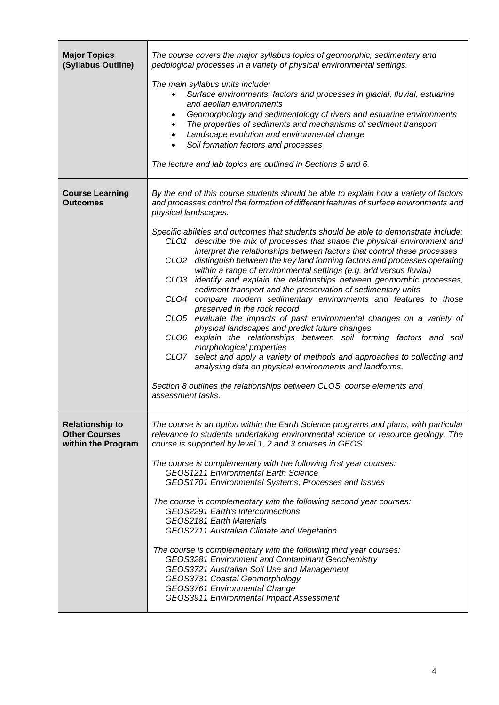| <b>Major Topics</b><br>(Syllabus Outline)                            | The course covers the major syllabus topics of geomorphic, sedimentary and<br>pedological processes in a variety of physical environmental settings.<br>The main syllabus units include:<br>Surface environments, factors and processes in glacial, fluvial, estuarine<br>$\bullet$<br>and aeolian environments<br>Geomorphology and sedimentology of rivers and estuarine environments<br>٠<br>The properties of sediments and mechanisms of sediment transport<br>$\bullet$<br>Landscape evolution and environmental change<br>$\bullet$<br>Soil formation factors and processes<br>The lecture and lab topics are outlined in Sections 5 and 6.                                                                                                                                                                                                                                                                                                                                                                                                                                                                                                                                                                                                                                                                                                                                        |  |
|----------------------------------------------------------------------|-------------------------------------------------------------------------------------------------------------------------------------------------------------------------------------------------------------------------------------------------------------------------------------------------------------------------------------------------------------------------------------------------------------------------------------------------------------------------------------------------------------------------------------------------------------------------------------------------------------------------------------------------------------------------------------------------------------------------------------------------------------------------------------------------------------------------------------------------------------------------------------------------------------------------------------------------------------------------------------------------------------------------------------------------------------------------------------------------------------------------------------------------------------------------------------------------------------------------------------------------------------------------------------------------------------------------------------------------------------------------------------------|--|
| <b>Course Learning</b><br><b>Outcomes</b>                            | By the end of this course students should be able to explain how a variety of factors<br>and processes control the formation of different features of surface environments and<br>physical landscapes.<br>Specific abilities and outcomes that students should be able to demonstrate include:<br>describe the mix of processes that shape the physical environment and<br>CLO1<br>interpret the relationships between factors that control these processes<br>distinguish between the key land forming factors and processes operating<br>CLO <sub>2</sub><br>within a range of environmental settings (e.g. arid versus fluvial)<br>identify and explain the relationships between geomorphic processes,<br>CLO <sub>3</sub><br>sediment transport and the preservation of sedimentary units<br>compare modern sedimentary environments and features to those<br>CLO4<br>preserved in the rock record<br>evaluate the impacts of past environmental changes on a variety of<br>CLO5<br>physical landscapes and predict future changes<br>explain the relationships between soil forming factors and soil<br>CLO6<br>morphological properties<br>select and apply a variety of methods and approaches to collecting and<br>CLO7<br>analysing data on physical environments and landforms.<br>Section 8 outlines the relationships between CLOS, course elements and<br>assessment tasks. |  |
| <b>Relationship to</b><br><b>Other Courses</b><br>within the Program | The course is an option within the Earth Science programs and plans, with particular<br>relevance to students undertaking environmental science or resource geology. The<br>course is supported by level 1, 2 and 3 courses in GEOS.<br>The course is complementary with the following first year courses:<br>GEOS1211 Environmental Earth Science<br>GEOS1701 Environmental Systems, Processes and Issues<br>The course is complementary with the following second year courses:<br>GEOS2291 Earth's Interconnections<br>GEOS2181 Earth Materials<br>GEOS2711 Australian Climate and Vegetation<br>The course is complementary with the following third year courses:<br>GEOS3281 Environment and Contaminant Geochemistry<br>GEOS3721 Australian Soil Use and Management<br>GEOS3731 Coastal Geomorphology<br>GEOS3761 Environmental Change<br>GEOS3911 Environmental Impact Assessment                                                                                                                                                                                                                                                                                                                                                                                                                                                                                                 |  |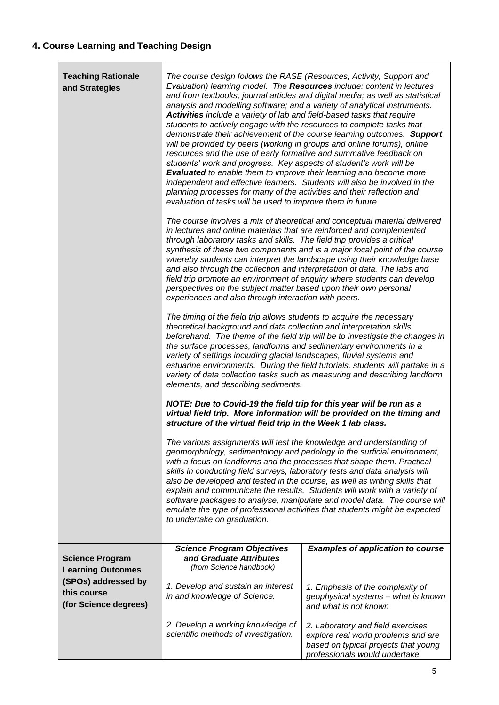| <b>Teaching Rationale</b><br>and Strategies                 | The course design follows the RASE (Resources, Activity, Support and<br>Evaluation) learning model. The Resources include: content in lectures<br>analysis and modelling software; and a variety of analytical instruments.<br>Activities include a variety of lab and field-based tasks that require<br>students to actively engage with the resources to complete tasks that<br>will be provided by peers (working in groups and online forums), online<br>resources and the use of early formative and summative feedback on<br>students' work and progress. Key aspects of student's work will be<br><b>Evaluated</b> to enable them to improve their learning and become more<br>independent and effective learners. Students will also be involved in the<br>planning processes for many of the activities and their reflection and<br>evaluation of tasks will be used to improve them in future. | and from textbooks, journal articles and digital media; as well as statistical<br>demonstrate their achievement of the course learning outcomes. Support                                                                                                                                                        |  |
|-------------------------------------------------------------|----------------------------------------------------------------------------------------------------------------------------------------------------------------------------------------------------------------------------------------------------------------------------------------------------------------------------------------------------------------------------------------------------------------------------------------------------------------------------------------------------------------------------------------------------------------------------------------------------------------------------------------------------------------------------------------------------------------------------------------------------------------------------------------------------------------------------------------------------------------------------------------------------------|-----------------------------------------------------------------------------------------------------------------------------------------------------------------------------------------------------------------------------------------------------------------------------------------------------------------|--|
|                                                             | The course involves a mix of theoretical and conceptual material delivered<br>in lectures and online materials that are reinforced and complemented<br>through laboratory tasks and skills. The field trip provides a critical<br>synthesis of these two components and is a major focal point of the course<br>whereby students can interpret the landscape using their knowledge base<br>and also through the collection and interpretation of data. The labs and<br>field trip promote an environment of enquiry where students can develop<br>perspectives on the subject matter based upon their own personal<br>experiences and also through interaction with peers.                                                                                                                                                                                                                               |                                                                                                                                                                                                                                                                                                                 |  |
|                                                             | The timing of the field trip allows students to acquire the necessary<br>theoretical background and data collection and interpretation skills<br>beforehand. The theme of the field trip will be to investigate the changes in<br>the surface processes, landforms and sedimentary environments in a<br>variety of settings including glacial landscapes, fluvial systems and<br>estuarine environments. During the field tutorials, students will partake in a<br>variety of data collection tasks such as measuring and describing landform<br>elements, and describing sediments.                                                                                                                                                                                                                                                                                                                     |                                                                                                                                                                                                                                                                                                                 |  |
|                                                             | NOTE: Due to Covid-19 the field trip for this year will be run as a<br>structure of the virtual field trip in the Week 1 lab class.                                                                                                                                                                                                                                                                                                                                                                                                                                                                                                                                                                                                                                                                                                                                                                      | virtual field trip. More information will be provided on the timing and                                                                                                                                                                                                                                         |  |
|                                                             | The various assignments will test the knowledge and understanding of<br>with a focus on landforms and the processes that shape them. Practical<br>skills in conducting field surveys, laboratory tests and data analysis will<br>also be developed and tested in the course, as well as writing skills that<br>to undertake on graduation.                                                                                                                                                                                                                                                                                                                                                                                                                                                                                                                                                               | geomorphology, sedimentology and pedology in the surficial environment,<br>explain and communicate the results. Students will work with a variety of<br>software packages to analyse, manipulate and model data. The course will<br>emulate the type of professional activities that students might be expected |  |
| <b>Science Program</b><br><b>Learning Outcomes</b>          | <b>Science Program Objectives</b><br>and Graduate Attributes<br>(from Science handbook)                                                                                                                                                                                                                                                                                                                                                                                                                                                                                                                                                                                                                                                                                                                                                                                                                  | <b>Examples of application to course</b>                                                                                                                                                                                                                                                                        |  |
| (SPOs) addressed by<br>this course<br>(for Science degrees) | 1. Develop and sustain an interest<br>in and knowledge of Science.                                                                                                                                                                                                                                                                                                                                                                                                                                                                                                                                                                                                                                                                                                                                                                                                                                       | 1. Emphasis of the complexity of<br>geophysical systems - what is known<br>and what is not known                                                                                                                                                                                                                |  |
|                                                             | 2. Develop a working knowledge of<br>scientific methods of investigation.                                                                                                                                                                                                                                                                                                                                                                                                                                                                                                                                                                                                                                                                                                                                                                                                                                | 2. Laboratory and field exercises<br>explore real world problems and are<br>based on typical projects that young<br>professionals would undertake.                                                                                                                                                              |  |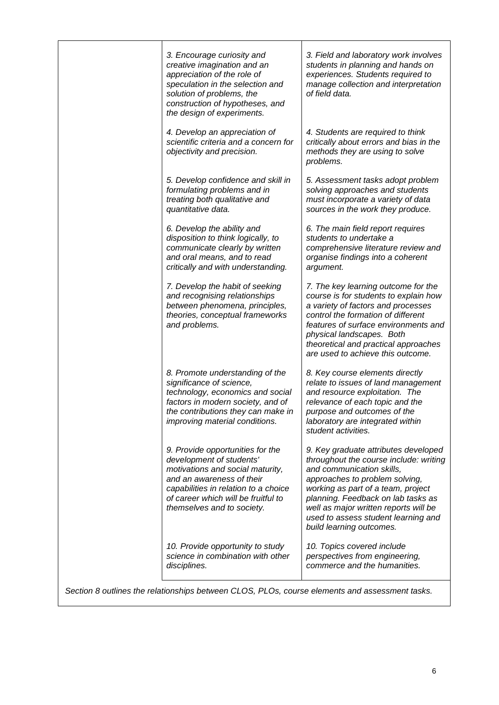|                                                                                                | 3. Encourage curiosity and<br>creative imagination and an<br>appreciation of the role of<br>speculation in the selection and<br>solution of problems, the<br>construction of hypotheses, and<br>the design of experiments.                 | 3. Field and laboratory work involves<br>students in planning and hands on<br>experiences. Students required to<br>manage collection and interpretation<br>of field data.                                                                                                                                                             |  |
|------------------------------------------------------------------------------------------------|--------------------------------------------------------------------------------------------------------------------------------------------------------------------------------------------------------------------------------------------|---------------------------------------------------------------------------------------------------------------------------------------------------------------------------------------------------------------------------------------------------------------------------------------------------------------------------------------|--|
|                                                                                                | 4. Develop an appreciation of<br>scientific criteria and a concern for<br>objectivity and precision.                                                                                                                                       | 4. Students are required to think<br>critically about errors and bias in the<br>methods they are using to solve<br>problems.                                                                                                                                                                                                          |  |
|                                                                                                | 5. Develop confidence and skill in<br>formulating problems and in<br>treating both qualitative and<br>quantitative data.                                                                                                                   | 5. Assessment tasks adopt problem<br>solving approaches and students<br>must incorporate a variety of data<br>sources in the work they produce.                                                                                                                                                                                       |  |
|                                                                                                | 6. Develop the ability and<br>disposition to think logically, to<br>communicate clearly by written<br>and oral means, and to read<br>critically and with understanding.                                                                    | 6. The main field report requires<br>students to undertake a<br>comprehensive literature review and<br>organise findings into a coherent<br>argument.                                                                                                                                                                                 |  |
|                                                                                                | 7. Develop the habit of seeking<br>and recognising relationships<br>between phenomena, principles,<br>theories, conceptual frameworks<br>and problems.                                                                                     | 7. The key learning outcome for the<br>course is for students to explain how<br>a variety of factors and processes<br>control the formation of different<br>features of surface environments and<br>physical landscapes. Both<br>theoretical and practical approaches<br>are used to achieve this outcome.                            |  |
|                                                                                                | 8. Promote understanding of the<br>significance of science,<br>technology, economics and social<br>factors in modern society, and of<br>the contributions they can make in<br>improving material conditions.                               | 8. Key course elements directly<br>relate to issues of land management<br>and resource exploitation. The<br>relevance of each topic and the<br>purpose and outcomes of the<br>laboratory are integrated within<br>student activities.                                                                                                 |  |
|                                                                                                | 9. Provide opportunities for the<br>development of students'<br>motivations and social maturity,<br>and an awareness of their<br>capabilities in relation to a choice<br>of career which will be fruitful to<br>themselves and to society. | 9. Key graduate attributes developed<br>throughout the course include: writing<br>and communication skills,<br>approaches to problem solving,<br>working as part of a team, project<br>planning. Feedback on lab tasks as<br>well as major written reports will be<br>used to assess student learning and<br>build learning outcomes. |  |
|                                                                                                | 10. Provide opportunity to study<br>science in combination with other<br>disciplines.                                                                                                                                                      | 10. Topics covered include<br>perspectives from engineering,<br>commerce and the humanities.                                                                                                                                                                                                                                          |  |
| Section 8 outlines the relationships between CLOS, PLOs, course elements and assessment tasks. |                                                                                                                                                                                                                                            |                                                                                                                                                                                                                                                                                                                                       |  |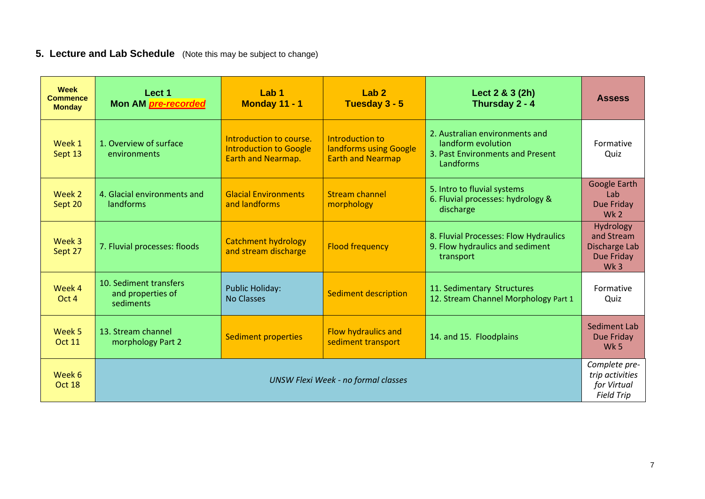# **5. Lecture and Lab Schedule** (Note this may be subject to change)

| <b>Week</b><br><b>Commence</b><br><b>Monday</b> | Lect 1<br>Mon AM pre-recorded                            | Lab <sub>1</sub><br><b>Monday 11 - 1</b>                                              | Lab <sub>2</sub><br>Tuesday 3 - 5                                     | Lect 2 & 3 (2h)<br>Thursday 2 - 4                                                                     | <b>Assess</b>                                                             |
|-------------------------------------------------|----------------------------------------------------------|---------------------------------------------------------------------------------------|-----------------------------------------------------------------------|-------------------------------------------------------------------------------------------------------|---------------------------------------------------------------------------|
| Week 1<br>Sept 13                               | 1. Overview of surface<br>environments                   | Introduction to course.<br><b>Introduction to Google</b><br><b>Earth and Nearmap.</b> | Introduction to<br>landforms using Google<br><b>Earth and Nearmap</b> | 2. Australian environments and<br>landform evolution<br>3. Past Environments and Present<br>Landforms | Formative<br>Quiz                                                         |
| Week 2<br>Sept 20                               | 4. Glacial environments and<br>landforms                 | <b>Glacial Environments</b><br>and landforms                                          | <b>Stream channel</b><br>morphology                                   | 5. Intro to fluvial systems<br>6. Fluvial processes: hydrology &<br>discharge                         | Google Earth<br>Lab<br>Due Friday<br>Wk <sub>2</sub>                      |
| Week 3<br>Sept 27                               | 7. Fluvial processes: floods                             | <b>Catchment hydrology</b><br>and stream discharge                                    | <b>Flood frequency</b>                                                | 8. Fluvial Processes: Flow Hydraulics<br>9. Flow hydraulics and sediment<br>transport                 | Hydrology<br>and Stream<br>Discharge Lab<br>Due Friday<br>Wk <sub>3</sub> |
| Week 4<br>Oct 4                                 | 10. Sediment transfers<br>and properties of<br>sediments | <b>Public Holiday:</b><br><b>No Classes</b>                                           | <b>Sediment description</b>                                           | 11. Sedimentary Structures<br>12. Stream Channel Morphology Part 1                                    | Formative<br>Quiz                                                         |
| Week 5<br><b>Oct 11</b>                         | 13. Stream channel<br>morphology Part 2                  | <b>Sediment properties</b>                                                            | <b>Flow hydraulics and</b><br>sediment transport                      | 14. and 15. Floodplains                                                                               | Sediment Lab<br>Due Friday<br>Wk <sub>5</sub>                             |
| Week 6<br>Oct 18                                | <b>UNSW Flexi Week - no formal classes</b>               |                                                                                       |                                                                       | Complete pre-<br>trip activities<br>for Virtual<br><b>Field Trip</b>                                  |                                                                           |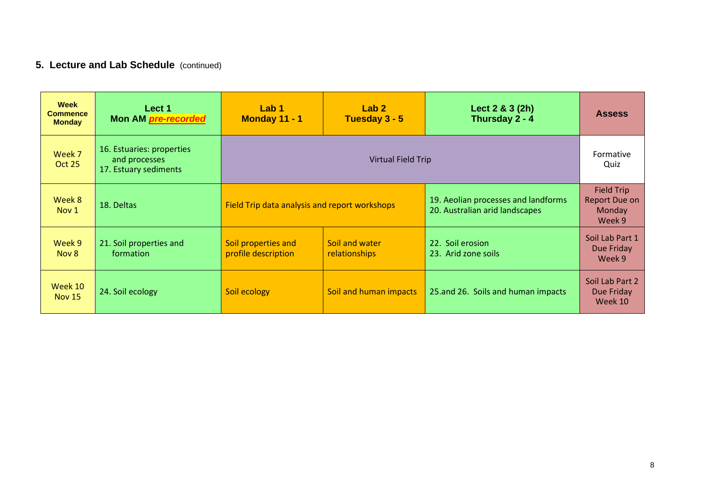# **5. Lecture and Lab Schedule** (continued)

| Week<br><b>Commence</b><br><b>Monday</b> | Lect 1<br>Mon AM <i>pre-recorded</i>                                | Lab 1<br>Monday 11 - 1                                                        | Lab <sub>2</sub><br>Tuesday 3 - 5 | Lect $2 & 3(2h)$<br>Thursday 2 - 4                                    | <b>Assess</b>                                          |
|------------------------------------------|---------------------------------------------------------------------|-------------------------------------------------------------------------------|-----------------------------------|-----------------------------------------------------------------------|--------------------------------------------------------|
| Week 7<br>Oct 25                         | 16. Estuaries: properties<br>and processes<br>17. Estuary sediments |                                                                               | Virtual Field Trip                |                                                                       | Formative<br>Quiz                                      |
| Week 8<br>Nov <sub>1</sub>               | 18. Deltas                                                          | Field Trip data analysis and report workshops                                 |                                   | 19. Aeolian processes and landforms<br>20. Australian arid landscapes | <b>Field Trip</b><br>Report Due on<br>Monday<br>Week 9 |
| Week 9<br>Nov 8                          | 21. Soil properties and<br>formation                                | Soil and water<br>Soil properties and<br>profile description<br>relationships |                                   | 22. Soil erosion<br>23. Arid zone soils                               | Soil Lab Part 1<br>Due Friday<br>Week 9                |
| Week 10<br><b>Nov 15</b>                 | 24. Soil ecology                                                    | Soil ecology<br>Soil and human impacts<br>25.and 26. Soils and human impacts  |                                   | Soil Lab Part 2<br>Due Friday<br>Week 10                              |                                                        |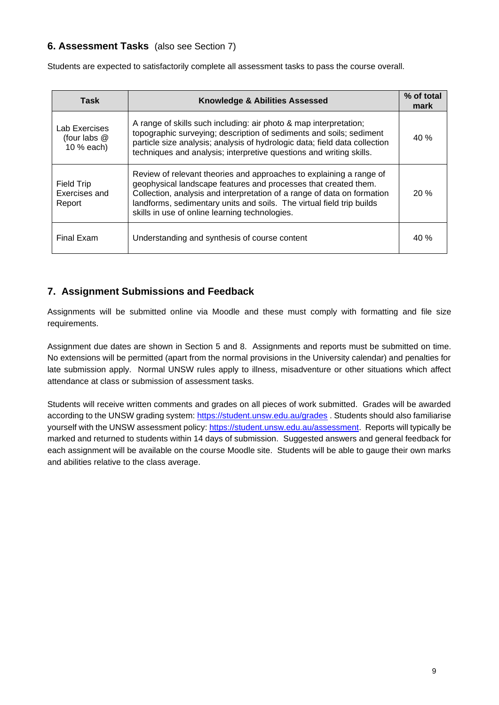# **6. Assessment Tasks** (also see Section 7)

Students are expected to satisfactorily complete all assessment tasks to pass the course overall.

| Task                                         | <b>Knowledge &amp; Abilities Assessed</b>                                                                                                                                                                                                                                                                                                    | % of total<br>mark |
|----------------------------------------------|----------------------------------------------------------------------------------------------------------------------------------------------------------------------------------------------------------------------------------------------------------------------------------------------------------------------------------------------|--------------------|
| Lab Exercises<br>(four labs @<br>10 % each)  | A range of skills such including: air photo & map interpretation;<br>topographic surveying; description of sediments and soils; sediment<br>particle size analysis; analysis of hydrologic data; field data collection<br>techniques and analysis; interpretive questions and writing skills.                                                | 40%                |
| <b>Field Trip</b><br>Exercises and<br>Report | Review of relevant theories and approaches to explaining a range of<br>geophysical landscape features and processes that created them.<br>Collection, analysis and interpretation of a range of data on formation<br>landforms, sedimentary units and soils. The virtual field trip builds<br>skills in use of online learning technologies. | 20%                |
| Final Exam                                   | Understanding and synthesis of course content                                                                                                                                                                                                                                                                                                | 40%                |

## **7. Assignment Submissions and Feedback**

Assignments will be submitted online via Moodle and these must comply with formatting and file size requirements.

Assignment due dates are shown in Section 5 and 8. Assignments and reports must be submitted on time. No extensions will be permitted (apart from the normal provisions in the University calendar) and penalties for late submission apply. Normal UNSW rules apply to illness, misadventure or other situations which affect attendance at class or submission of assessment tasks.

Students will receive written comments and grades on all pieces of work submitted. Grades will be awarded according to the UNSW grading system:<https://student.unsw.edu.au/grades> . Students should also familiarise yourself with the UNSW assessment policy: [https://student.unsw.edu.au/assessment.](https://student.unsw.edu.au/assessment) Reports will typically be marked and returned to students within 14 days of submission. Suggested answers and general feedback for each assignment will be available on the course Moodle site. Students will be able to gauge their own marks and abilities relative to the class average.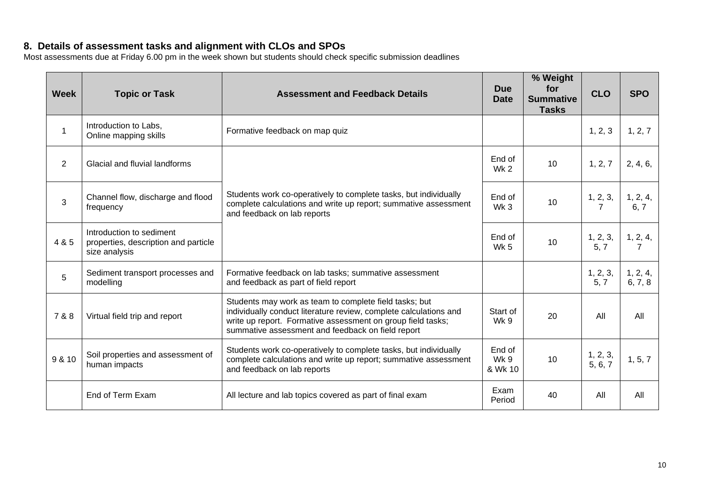## **8. Details of assessment tasks and alignment with CLOs and SPOs**

Most assessments due at Friday 6.00 pm in the week shown but students should check specific submission deadlines

| <b>Week</b>    | <b>Topic or Task</b>                                                              | <b>Assessment and Feedback Details</b>                                                                                                                                                                                                          |                           | % Weight<br>for<br><b>Summative</b><br><b>Tasks</b> | <b>CLO</b>          | <b>SPO</b>          |
|----------------|-----------------------------------------------------------------------------------|-------------------------------------------------------------------------------------------------------------------------------------------------------------------------------------------------------------------------------------------------|---------------------------|-----------------------------------------------------|---------------------|---------------------|
| $\mathbf{1}$   | Introduction to Labs,<br>Online mapping skills                                    | Formative feedback on map quiz                                                                                                                                                                                                                  |                           |                                                     | 1, 2, 3             | 1, 2, 7             |
| $\overline{2}$ | Glacial and fluvial landforms                                                     |                                                                                                                                                                                                                                                 | End of<br>Wk 2            | 10                                                  | 1, 2, 7             | 2, 4, 6,            |
| 3              | Channel flow, discharge and flood<br>frequency                                    | Students work co-operatively to complete tasks, but individually<br>complete calculations and write up report; summative assessment<br>and feedback on lab reports                                                                              | End of<br>Wk <sub>3</sub> | 10                                                  | 1, 2, 3,<br>7       | 1, 2, 4,<br>6, 7    |
| 4 & 5          | Introduction to sediment<br>properties, description and particle<br>size analysis |                                                                                                                                                                                                                                                 |                           | 10                                                  | 1, 2, 3,<br>5, 7    | 1, 2, 4,<br>7       |
| 5              | Sediment transport processes and<br>modelling                                     | Formative feedback on lab tasks; summative assessment<br>and feedback as part of field report                                                                                                                                                   |                           |                                                     | 1, 2, 3,<br>5, 7    | 1, 2, 4,<br>6, 7, 8 |
| 7 & 8          | Virtual field trip and report                                                     | Students may work as team to complete field tasks; but<br>individually conduct literature review, complete calculations and<br>write up report. Formative assessment on group field tasks;<br>summative assessment and feedback on field report | Start of<br><b>Wk 9</b>   | 20                                                  | All                 | All                 |
| 9 & 10         | Soil properties and assessment of<br>human impacts                                | Students work co-operatively to complete tasks, but individually<br>complete calculations and write up report; summative assessment<br>and feedback on lab reports                                                                              | End of<br>Wk 9<br>& Wk 10 | 10                                                  | 1, 2, 3,<br>5, 6, 7 | 1, 5, 7             |
|                | End of Term Exam                                                                  | All lecture and lab topics covered as part of final exam                                                                                                                                                                                        | Exam<br>Period            | 40                                                  | All                 | All                 |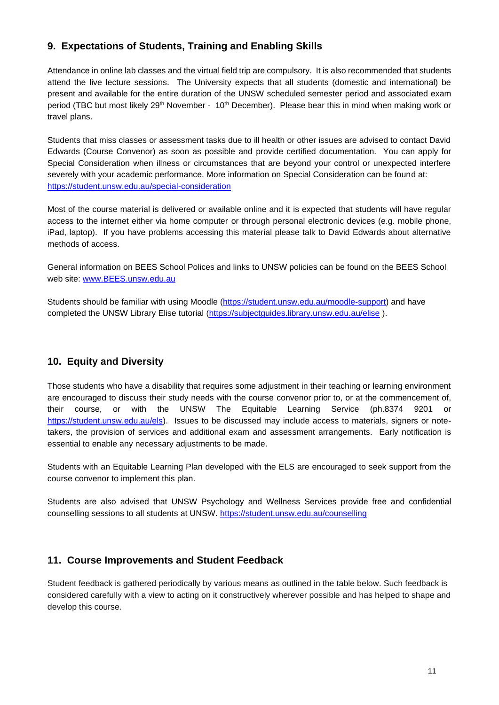# **9. Expectations of Students, Training and Enabling Skills**

Attendance in online lab classes and the virtual field trip are compulsory. It is also recommended that students attend the live lecture sessions. The University expects that all students (domestic and international) be present and available for the entire duration of the UNSW scheduled semester period and associated exam period (TBC but most likely 29<sup>th</sup> November - 10<sup>th</sup> December). Please bear this in mind when making work or travel plans.

Students that miss classes or assessment tasks due to ill health or other issues are advised to contact David Edwards (Course Convenor) as soon as possible and provide certified documentation. You can apply for Special Consideration when illness or circumstances that are beyond your control or unexpected interfere severely with your academic performance. More information on Special Consideration can be found at: <https://student.unsw.edu.au/special-consideration>

Most of the course material is delivered or available online and it is expected that students will have regular access to the internet either via home computer or through personal electronic devices (e.g. mobile phone, iPad, laptop). If you have problems accessing this material please talk to David Edwards about alternative methods of access.

General information on BEES School Polices and links to UNSW policies can be found on the BEES School web site: [www.BEES.unsw.edu.au](http://www.bees.unsw.edu.au/)

Students should be familiar with using Moodle [\(https://student.unsw.edu.au/moodle-support\)](https://student.unsw.edu.au/moodle-support) and have completed the UNSW Library Elise tutorial [\(https://subjectguides.library.unsw.edu.au/elise](https://subjectguides.library.unsw.edu.au/elise)).

# **10. Equity and Diversity**

Those students who have a disability that requires some adjustment in their teaching or learning environment are encouraged to discuss their study needs with the course convenor prior to, or at the commencement of, their course, or with the UNSW The Equitable Learning Service (ph.8374 9201 or [https://student.unsw.edu.au/els\)](https://student.unsw.edu.au/els). Issues to be discussed may include access to materials, signers or notetakers, the provision of services and additional exam and assessment arrangements. Early notification is essential to enable any necessary adjustments to be made.

Students with an Equitable Learning Plan developed with the ELS are encouraged to seek support from the course convenor to implement this plan.

Students are also advised that UNSW Psychology and Wellness Services provide free and confidential counselling sessions to all students at UNSW. <https://student.unsw.edu.au/counselling>

## **11. Course Improvements and Student Feedback**

Student feedback is gathered periodically by various means as outlined in the table below. Such feedback is considered carefully with a view to acting on it constructively wherever possible and has helped to shape and develop this course.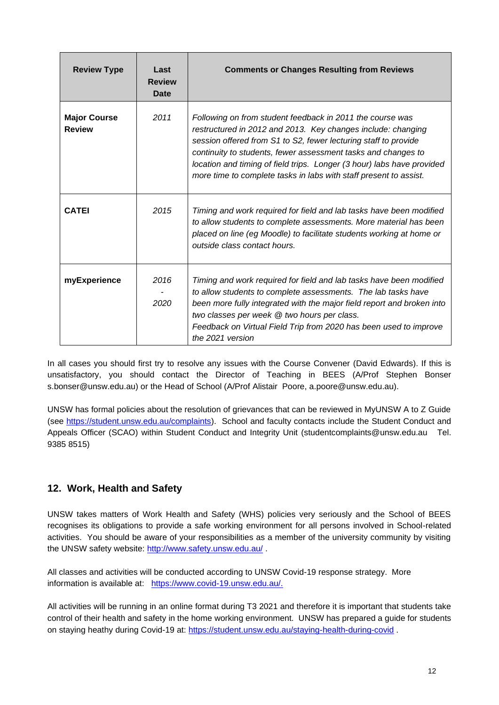| <b>Review Type</b>                   | Last<br><b>Review</b><br>Date | <b>Comments or Changes Resulting from Reviews</b>                                                                                                                                                                                                                                                                                                                                                            |
|--------------------------------------|-------------------------------|--------------------------------------------------------------------------------------------------------------------------------------------------------------------------------------------------------------------------------------------------------------------------------------------------------------------------------------------------------------------------------------------------------------|
| <b>Major Course</b><br><b>Review</b> | 2011                          | Following on from student feedback in 2011 the course was<br>restructured in 2012 and 2013. Key changes include: changing<br>session offered from S1 to S2, fewer lecturing staff to provide<br>continuity to students, fewer assessment tasks and changes to<br>location and timing of field trips. Longer (3 hour) labs have provided<br>more time to complete tasks in labs with staff present to assist. |
| <b>CATEI</b>                         | 2015                          | Timing and work required for field and lab tasks have been modified<br>to allow students to complete assessments. More material has been<br>placed on line (eg Moodle) to facilitate students working at home or<br>outside class contact hours.                                                                                                                                                             |
| myExperience                         | 2016<br>2020                  | Timing and work required for field and lab tasks have been modified<br>to allow students to complete assessments. The lab tasks have<br>been more fully integrated with the major field report and broken into<br>two classes per week @ two hours per class.<br>Feedback on Virtual Field Trip from 2020 has been used to improve<br>the 2021 version                                                       |

In all cases you should first try to resolve any issues with the Course Convener (David Edwards). If this is unsatisfactory, you should contact the Director of Teaching in BEES (A/Prof Stephen Bonser s.bonser@unsw.edu.au) or the Head of School (A/Prof Alistair Poore, a.poore@unsw.edu.au).

UNSW has formal policies about the resolution of grievances that can be reviewed in MyUNSW A to Z Guide (see [https://student.unsw.edu.au/complaints\)](https://student.unsw.edu.au/complaints). School and faculty contacts include the Student Conduct and Appeals Officer (SCAO) within Student Conduct and Integrity Unit (studentcomplaints@unsw.edu.au Tel. 9385 8515)

# **12. Work, Health and Safety**

UNSW takes matters of Work Health and Safety (WHS) policies very seriously and the School of BEES recognises its obligations to provide a safe working environment for all persons involved in School-related activities. You should be aware of your responsibilities as a member of the university community by visiting the UNSW safety website: http://www.safety.unsw.edu.au/.

All classes and activities will be conducted according to UNSW Covid-19 response strategy. More information is available at: [https://www.covid-19.unsw.edu.au/.](https://www.covid-19.unsw.edu.au/)

All activities will be running in an online format during T3 2021 and therefore it is important that students take control of their health and safety in the home working environment. UNSW has prepared a guide for students on staying heathy during Covid-19 at:<https://student.unsw.edu.au/staying-health-during-covid> .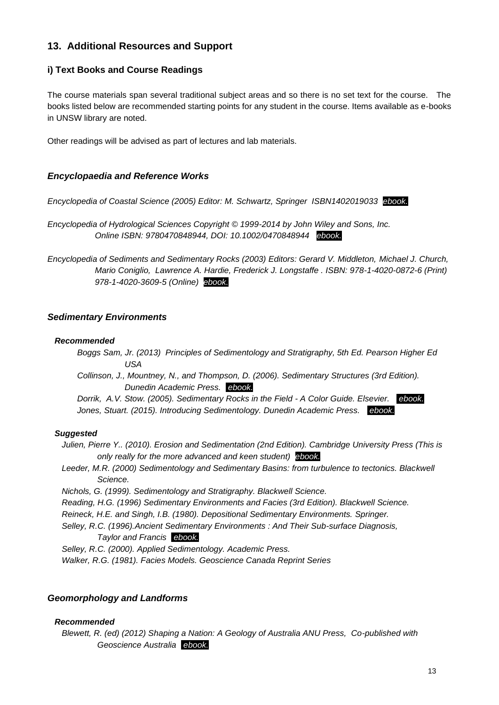## **13. Additional Resources and Support**

## **i) Text Books and Course Readings**

The course materials span several traditional subject areas and so there is no set text for the course. The books listed below are recommended starting points for any student in the course. Items available as e-books in UNSW library are noted.

Other readings will be advised as part of lectures and lab materials.

## *Encyclopaedia and Reference Works*

*Encyclopedia of Coastal Science (2005) Editor: M. Schwartz, Springer ISBN1402019033 ebook.*

*Encyclopedia of Hydrological Sciences Copyright © 1999-2014 by John Wiley and Sons, Inc. Online ISBN: 9780470848944, DOI: 10.1002/0470848944 ebook.*

*Encyclopedia of Sediments and Sedimentary Rocks (2003) Editors: Gerard V. Middleton, Michael J. Church, Mario Coniglio, Lawrence A. Hardie, Frederick J. Longstaffe . ISBN: 978-1-4020-0872-6 (Print) 978-1-4020-3609-5 (Online) ebook.*

## *Sedimentary Environments*

#### *Recommended*

- *Boggs Sam, Jr. (2013) Principles of Sedimentology and Stratigraphy, 5th Ed. Pearson Higher Ed USA*
- *Collinson, J., Mountney, N., and Thompson, D. (2006). Sedimentary Structures (3rd Edition). Dunedin Academic Press. ebook.*

*Dorrik, A.V. Stow. (2005). Sedimentary Rocks in the Field - A Color Guide. Elsevier. ebook. Jones, Stuart. (2015). Introducing Sedimentology. Dunedin Academic Press. ebook.*

## *Suggested*

*Julien, Pierre Y.. (2010). Erosion and Sedimentation (2nd Edition). Cambridge University Press (This is only really for the more advanced and keen student) ebook.*

Leeder, M.R. (2000) Sedimentology and Sedimentary Basins: from turbulence to tectonics. Blackwell *Science.* 

*Nichols, G. (1999). Sedimentology and Stratigraphy. Blackwell Science.* 

*Reading, H.G. (1996) Sedimentary Environments and Facies (3rd Edition). Blackwell Science.* 

*Reineck, H.E. and Singh, I.B. (1980). Depositional Sedimentary Environments. Springer.* 

*Selley, R.C. (1996).Ancient Sedimentary Environments : And Their Sub-surface Diagnosis, Taylor and Francis ebook.*

*Selley, R.C. (2000). Applied Sedimentology. Academic Press.*

*Walker, R.G. (1981). Facies Models. Geoscience Canada Reprint Series*

## *Geomorphology and Landforms*

#### *Recommended*

*Blewett, R. (ed) (2012) Shaping a Nation: A Geology of Australia ANU Press, Co-published with Geoscience Australia ebook.*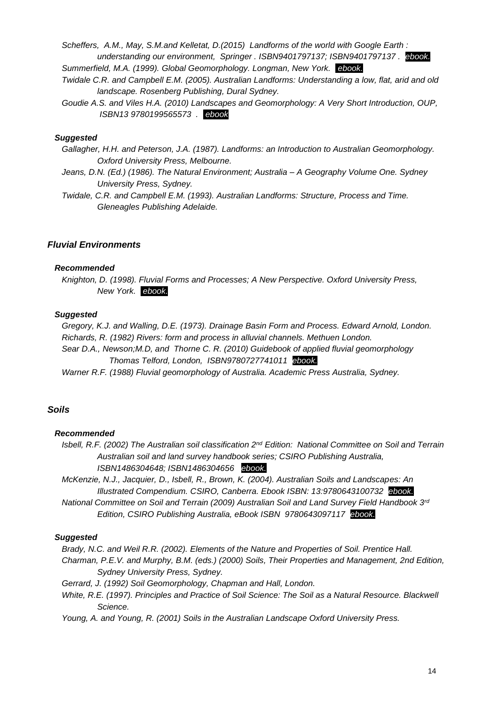*Scheffers, A.M., May, S.M.and Kelletat, D.(2015) Landforms of the world with Google Earth : understanding our environment, Springer . ISBN9401797137; ISBN9401797137 . ebook. Summerfield, M.A. (1999). Global Geomorphology. Longman, New York. ebook.*

*Twidale C.R. and Campbell E.M. (2005). Australian Landforms: Understanding a low, flat, arid and old landscape. Rosenberg Publishing, Dural Sydney.* 

*Goudie A.S. and Viles H.A. (2010) Landscapes and Geomorphology: A Very Short Introduction, OUP, ISBN13 9780199565573 . ebook*

#### *Suggested*

- *Gallagher, H.H. and Peterson, J.A. (1987). Landforms: an Introduction to Australian Geomorphology. Oxford University Press, Melbourne.*
- *Jeans, D.N. (Ed.) (1986). The Natural Environment; Australia – A Geography Volume One. Sydney University Press, Sydney.*

*Twidale, C.R. and Campbell E.M. (1993). Australian Landforms: Structure, Process and Time. Gleneagles Publishing Adelaide.*

#### *Fluvial Environments*

#### *Recommended*

*Knighton, D. (1998). Fluvial Forms and Processes; A New Perspective. Oxford University Press, New York. ebook.*

#### *Suggested*

*Gregory, K.J. and Walling, D.E. (1973). Drainage Basin Form and Process. Edward Arnold, London. Richards, R. (1982) Rivers: form and process in alluvial channels. Methuen London.* 

*Sear D.A., Newson;M.D, and Thorne C. R. (2010) Guidebook of applied fluvial geomorphology Thomas Telford, London, ISBN9780727741011 ebook.*

*Warner R.F. (1988) Fluvial geomorphology of Australia. Academic Press Australia, Sydney.* 

## *Soils*

#### *Recommended*

*Isbell, R.F. (2002) The Australian soil classification 2nd Edition: National Committee on Soil and Terrain Australian soil and land survey handbook series; CSIRO Publishing Australia, ISBN1486304648; ISBN1486304656 ebook.*

*McKenzie, N.J., Jacquier, D., Isbell, R., Brown, K. (2004). Australian Soils and Landscapes: An Illustrated Compendium. CSIRO, Canberra. Ebook ISBN: 13:9780643100732 ebook. National Committee on Soil and Terrain (2009) Australian Soil and Land Survey Field Handbook 3rd Edition, CSIRO Publishing Australia, eBook ISBN 9780643097117 ebook.*

#### *Suggested*

*Brady, N.C. and Weil R.R. (2002). Elements of the Nature and Properties of Soil. Prentice Hall. Charman, P.E.V. and Murphy, B.M. (eds.) (2000) Soils, Their Properties and Management, 2nd Edition, Sydney University Press, Sydney.* 

*Gerrard, J. (1992) Soil Geomorphology, Chapman and Hall, London.* 

*White, R.E. (1997). Principles and Practice of Soil Science: The Soil as a Natural Resource. Blackwell Science.* 

*Young, A. and Young, R. (2001) Soils in the Australian Landscape Oxford University Press.*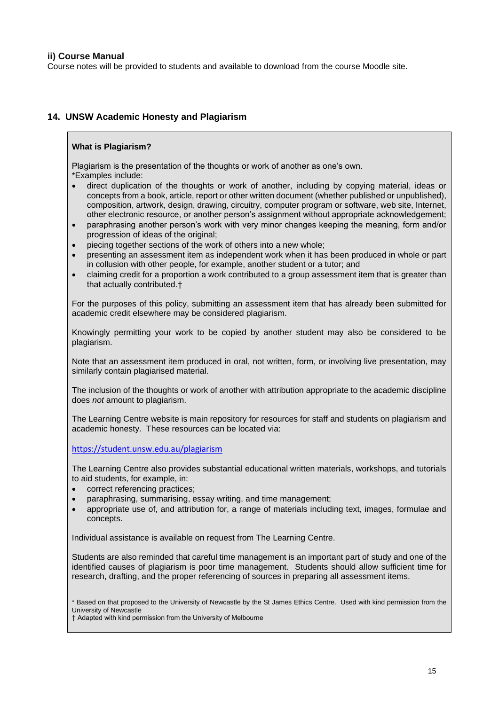#### **ii) Course Manual**

Course notes will be provided to students and available to download from the course Moodle site.

#### **14. UNSW Academic Honesty and Plagiarism**

#### **What is Plagiarism?**

Plagiarism is the presentation of the thoughts or work of another as one's own. \*Examples include:

- direct duplication of the thoughts or work of another, including by copying material, ideas or concepts from a book, article, report or other written document (whether published or unpublished), composition, artwork, design, drawing, circuitry, computer program or software, web site, Internet, other electronic resource, or another person's assignment without appropriate acknowledgement;
- paraphrasing another person's work with very minor changes keeping the meaning, form and/or progression of ideas of the original;
- piecing together sections of the work of others into a new whole;
- presenting an assessment item as independent work when it has been produced in whole or part in collusion with other people, for example, another student or a tutor; and
- claiming credit for a proportion a work contributed to a group assessment item that is greater than that actually contributed.†

For the purposes of this policy, submitting an assessment item that has already been submitted for academic credit elsewhere may be considered plagiarism.

Knowingly permitting your work to be copied by another student may also be considered to be plagiarism.

Note that an assessment item produced in oral, not written, form, or involving live presentation, may similarly contain plagiarised material.

The inclusion of the thoughts or work of another with attribution appropriate to the academic discipline does *not* amount to plagiarism.

The Learning Centre website is main repository for resources for staff and students on plagiarism and academic honesty. These resources can be located via:

<https://student.unsw.edu.au/plagiarism>

The Learning Centre also provides substantial educational written materials, workshops, and tutorials to aid students, for example, in:

- correct referencing practices;
- paraphrasing, summarising, essay writing, and time management;
- appropriate use of, and attribution for, a range of materials including text, images, formulae and concepts.

Individual assistance is available on request from The Learning Centre.

Students are also reminded that careful time management is an important part of study and one of the identified causes of plagiarism is poor time management. Students should allow sufficient time for research, drafting, and the proper referencing of sources in preparing all assessment items.

\* Based on that proposed to the University of Newcastle by the St James Ethics Centre. Used with kind permission from the University of Newcastle

† Adapted with kind permission from the University of Melbourne